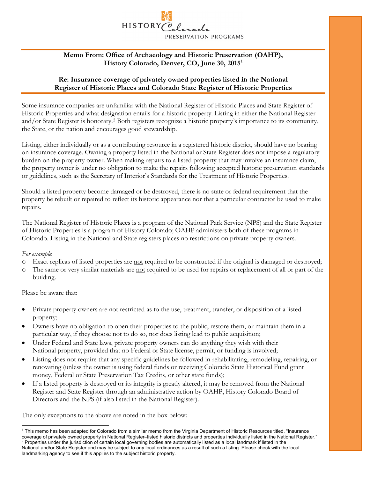# HISTORY PRESERVATION PROGRAMS

## **Memo From: Office of Archaeology and Historic Preservation (OAHP), History Colorado, Denver, CO, June 30, 2015[1](#page-0-0)**

## **Re: Insurance coverage of privately owned properties listed in the National Register of Historic Places and Colorado State Register of Historic Properties**

Some insurance companies are unfamiliar with the National Register of Historic Places and State Register of Historic Properties and what designation entails for a historic property. Listing in either the National Register and/or State Register is honorary.[2](#page-0-1) Both registers recognize a historic property's importance to its community, the State, or the nation and encourages good stewardship.

Listing, either individually or as a contributing resource in a registered historic district, should have no bearing on insurance coverage. Owning a property listed in the National or State Register does not impose a regulatory burden on the property owner. When making repairs to a listed property that may involve an insurance claim, the property owner is under no obligation to make the repairs following accepted historic preservation standards or guidelines, such as the Secretary of Interior's Standards for the Treatment of Historic Properties.

Should a listed property become damaged or be destroyed, there is no state or federal requirement that the property be rebuilt or repaired to reflect its historic appearance nor that a particular contractor be used to make repairs.

The National Register of Historic Places is a program of the National Park Service (NPS) and the State Register of Historic Properties is a program of History Colorado; OAHP administers both of these programs in Colorado. Listing in the National and State registers places no restrictions on private property owners.

### *For example*:

- o Exact replicas of listed properties are not required to be constructed if the original is damaged or destroyed;
- o The same or very similar materials are not required to be used for repairs or replacement of all or part of the building.

#### Please be aware that:

- Private property owners are not restricted as to the use, treatment, transfer, or disposition of a listed property;
- Owners have no obligation to open their properties to the public, restore them, or maintain them in a particular way, if they choose not to do so, nor does listing lead to public acquisition;
- Under Federal and State laws, private property owners can do anything they wish with their National property, provided that no Federal or State license, permit, or funding is involved;
- Listing does not require that any specific guidelines be followed in rehabilitating, remodeling, repairing, or renovating (unless the owner is using federal funds or receiving Colorado State Historical Fund grant money, Federal or State Preservation Tax Credits, or other state funds);
- If a listed property is destroyed or its integrity is greatly altered, it may be removed from the National Register and State Register through an administrative action by OAHP, History Colorado Board of Directors and the NPS (if also listed in the National Register).

The only exceptions to the above are noted in the box below:

<span id="page-0-1"></span><span id="page-0-0"></span> $\overline{a}$ <sup>1</sup> This memo has been adapted for Colorado from a similar memo from the Virginia Department of Historic Resources titled, "Insurance coverage of privately owned property in National Register–listed historic districts and properties individually listed in the National Register."<br><sup>2</sup> Properties under the jurisdiction of certain local governing bodies are National and/or State Register and may be subject to any local ordinances as a result of such a listing. Please check with the local landmarking agency to see if this applies to the subject historic property.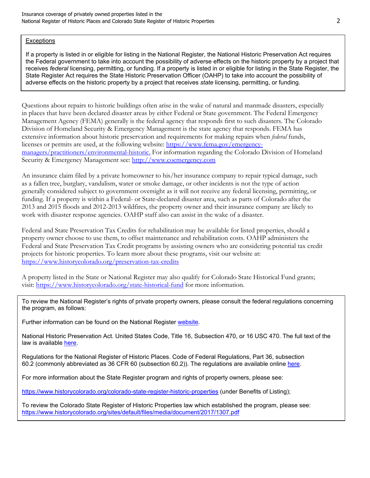#### **Exceptions**

If a property is listed in or eligible for listing in the National Register, the National Historic Preservation Act requires the Federal government to take into account the possibility of adverse effects on the historic property by a project that receives *federal* licensing, permitting, or funding. If a property is listed in or eligible for listing in the State Register, the State Register Act requires the State Historic Preservation Officer (OAHP) to take into account the possibility of adverse effects on the historic property by a project that receives *state* licensing, permitting, or funding.

Questions about repairs to historic buildings often arise in the wake of natural and manmade disasters, especially in places that have been declared disaster areas by either Federal or State government. The Federal Emergency Management Agency (FEMA) generally is the federal agency that responds first to such disasters. The Colorado Division of Homeland Security & Emergency Management is the state agency that responds. FEMA has extensive information about historic preservation and requirements for making repairs when *federal* funds, licenses or permits are used, at the following website: [https://www.fema.gov/emergency](http://www.fema.gov/environmental-planning-and-historic-preservation-program/historic-preservation-information)[managers/practitioners/environmental-historic.](http://www.fema.gov/environmental-planning-and-historic-preservation-program/historic-preservation-information) For information regarding the Colorado Division of Homeland Security & Emergency Management see: [http://www.coemergency.com](http://www.coemergency.com/)

An insurance claim filed by a private homeowner to his/her insurance company to repair typical damage, such as a fallen tree, burglary, vandalism, water or smoke damage, or other incidents is not the type of action generally considered subject to government oversight as it will not receive any federal licensing, permitting, or funding. If a property is within a Federal- or State-declared disaster area, such as parts of Colorado after the 2013 and 2015 floods and 2012-2013 wildfires, the property owner and their insurance company are likely to work with disaster response agencies. OAHP staff also can assist in the wake of a disaster.

Federal and State Preservation Tax Credits for rehabilitation may be available for listed properties, should a property owner choose to use them, to offset maintenance and rehabilitation costs. OAHP administers the Federal and State Preservation Tax Credit programs by assisting owners who are considering potential tax credit projects for historic properties. To learn more about these programs, visit our website at: <https://www.historycolorado.org/preservation-tax-credits>

A property listed in the State or National Register may also qualify for Colorado State Historical Fund grants; visit: <https://www.historycolorado.org/state-historical-fund> for more information.

To review the National Register's rights of private property owners, please consult the federal regulations concerning the program, as follows:

Further information can be found on the National Register [website.](https://www.nps.gov/subjects/nationalregister/faqs.htm)

National Historic Preservation Act. United States Code, Title 16, Subsection 470, or 16 USC 470. The full text of the law is available [here.](https://uscode.house.gov/view.xhtml?req=granuleid%3AUSC-prelim-title54-subtitle3&saved=%7CKHRpdGxlOjU0IHNlY3Rpb246MzAwMTAxIGVkaXRpb246cHJlbGltKSBPUiAoZ3JhbnVsZWlkOlVTQy1wcmVsaW0tdGl0bGU1NC1zZWN0aW9uMzAwMTAxKQ%3D%3D%7CdHJlZXNvcnQ%3D%7C%7C0%7Cfalse%7Cprelim&edition=prelim)

Regulations for the National Register of Historic Places. Code of Federal Regulations, Part 36, subsection 60.2 (commonly abbreviated as 36 CFR 60 (subsection 60.2)). The regulations are available online [here.](https://www.ecfr.gov/cgi-bin/text-idx?SID=b36f494ab8c19284178b4c593eda2a8f&tpl=/ecfrbrowse/Title36/36cfr60_main_02.tpl)

For more information about the State Register program and rights of property owners, please see:

<https://www.historycolorado.org/colorado-state-register-historic-properties> (under Benefits of Listing);

To review the Colorado State Register of Historic Properties law which established the program, please see: <https://www.historycolorado.org/sites/default/files/media/document/2017/1307.pdf>